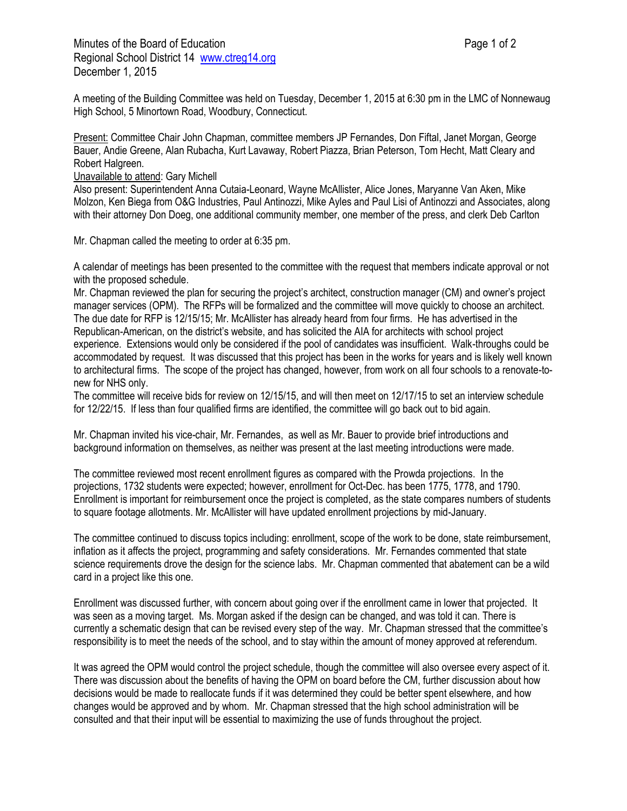Minutes of the Board of Education **Page 1 of 2** and 2 Regional School District 14 [www.ctreg14.org](http://www.ctreg14.org/) December 1, 2015

A meeting of the Building Committee was held on Tuesday, December 1, 2015 at 6:30 pm in the LMC of Nonnewaug High School, 5 Minortown Road, Woodbury, Connecticut.

Present: Committee Chair John Chapman, committee members JP Fernandes, Don Fiftal, Janet Morgan, George Bauer, Andie Greene, Alan Rubacha, Kurt Lavaway, Robert Piazza, Brian Peterson, Tom Hecht, Matt Cleary and Robert Halgreen.

## Unavailable to attend: Gary Michell

Also present: Superintendent Anna Cutaia-Leonard, Wayne McAllister, Alice Jones, Maryanne Van Aken, Mike Molzon, Ken Biega from O&G Industries, Paul Antinozzi, Mike Ayles and Paul Lisi of Antinozzi and Associates, along with their attorney Don Doeg, one additional community member, one member of the press, and clerk Deb Carlton

Mr. Chapman called the meeting to order at 6:35 pm.

A calendar of meetings has been presented to the committee with the request that members indicate approval or not with the proposed schedule.

Mr. Chapman reviewed the plan for securing the project's architect, construction manager (CM) and owner's project manager services (OPM). The RFPs will be formalized and the committee will move quickly to choose an architect. The due date for RFP is 12/15/15; Mr. McAllister has already heard from four firms. He has advertised in the Republican-American, on the district's website, and has solicited the AIA for architects with school project experience. Extensions would only be considered if the pool of candidates was insufficient. Walk-throughs could be accommodated by request. It was discussed that this project has been in the works for years and is likely well known to architectural firms. The scope of the project has changed, however, from work on all four schools to a renovate-tonew for NHS only.

The committee will receive bids for review on 12/15/15, and will then meet on 12/17/15 to set an interview schedule for 12/22/15. If less than four qualified firms are identified, the committee will go back out to bid again.

Mr. Chapman invited his vice-chair, Mr. Fernandes, as well as Mr. Bauer to provide brief introductions and background information on themselves, as neither was present at the last meeting introductions were made.

The committee reviewed most recent enrollment figures as compared with the Prowda projections. In the projections, 1732 students were expected; however, enrollment for Oct-Dec. has been 1775, 1778, and 1790. Enrollment is important for reimbursement once the project is completed, as the state compares numbers of students to square footage allotments. Mr. McAllister will have updated enrollment projections by mid-January.

The committee continued to discuss topics including: enrollment, scope of the work to be done, state reimbursement, inflation as it affects the project, programming and safety considerations. Mr. Fernandes commented that state science requirements drove the design for the science labs. Mr. Chapman commented that abatement can be a wild card in a project like this one.

Enrollment was discussed further, with concern about going over if the enrollment came in lower that projected. It was seen as a moving target. Ms. Morgan asked if the design can be changed, and was told it can. There is currently a schematic design that can be revised every step of the way. Mr. Chapman stressed that the committee's responsibility is to meet the needs of the school, and to stay within the amount of money approved at referendum.

It was agreed the OPM would control the project schedule, though the committee will also oversee every aspect of it. There was discussion about the benefits of having the OPM on board before the CM, further discussion about how decisions would be made to reallocate funds if it was determined they could be better spent elsewhere, and how changes would be approved and by whom. Mr. Chapman stressed that the high school administration will be consulted and that their input will be essential to maximizing the use of funds throughout the project.